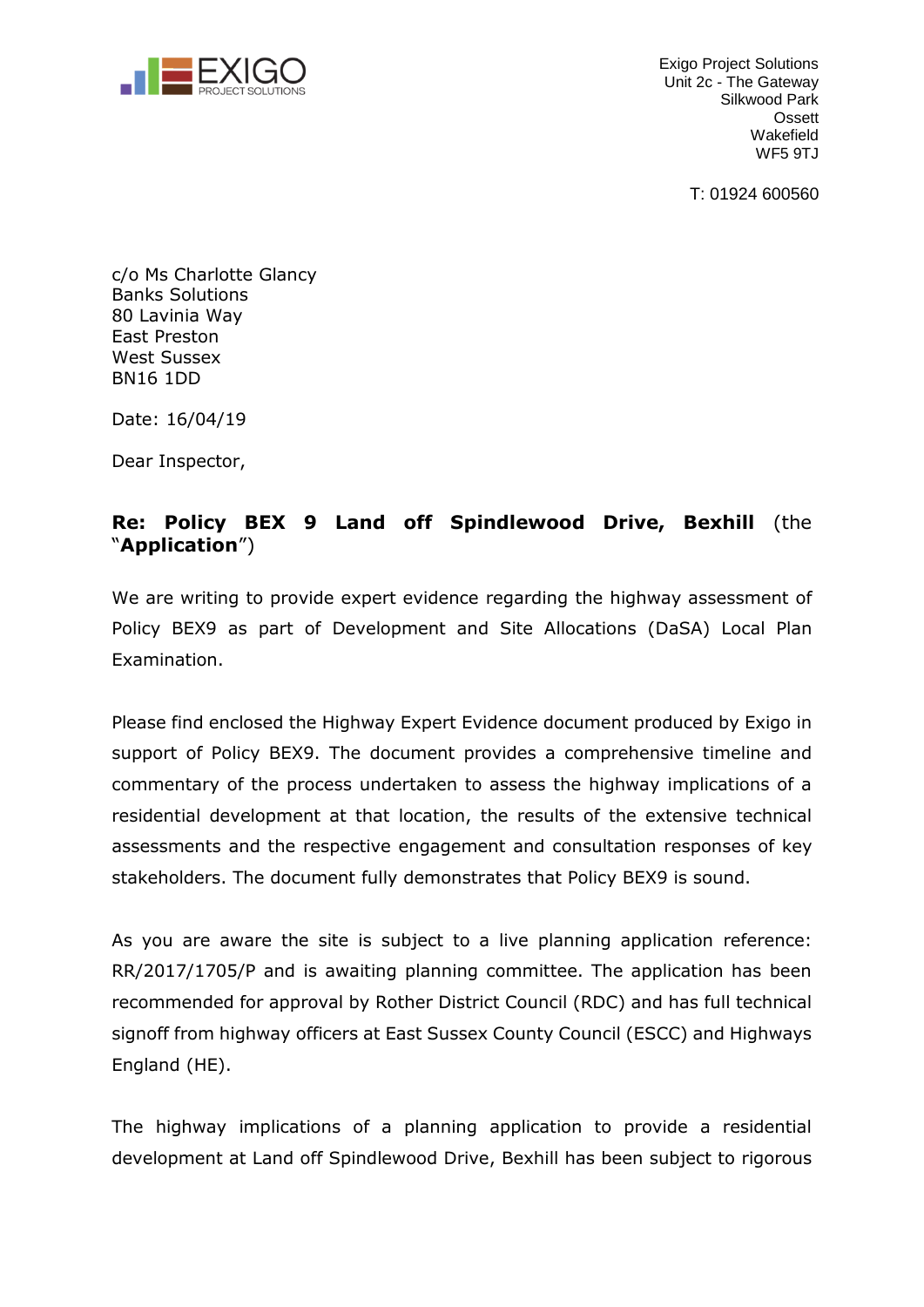

Exigo Project Solutions Unit 2c - The Gateway Silkwood Park **Ossett** Wakefield WF<sub>5</sub> 9TJ

T: 01924 600560

c/o Ms Charlotte Glancy Banks Solutions 80 Lavinia Way East Preston West Sussex BN16 1DD

Date: 16/04/19

Dear Inspector,

## **Re: Policy BEX 9 Land off Spindlewood Drive, Bexhill** (the "**Application**")

We are writing to provide expert evidence regarding the highway assessment of Policy BEX9 as part of Development and Site Allocations (DaSA) Local Plan Examination.

Please find enclosed the Highway Expert Evidence document produced by Exigo in support of Policy BEX9. The document provides a comprehensive timeline and commentary of the process undertaken to assess the highway implications of a residential development at that location, the results of the extensive technical assessments and the respective engagement and consultation responses of key stakeholders. The document fully demonstrates that Policy BEX9 is sound.

As you are aware the site is subject to a live planning application reference: RR/2017/1705/P and is awaiting planning committee. The application has been recommended for approval by Rother District Council (RDC) and has full technical signoff from highway officers at East Sussex County Council (ESCC) and Highways England (HE).

The highway implications of a planning application to provide a residential development at Land off Spindlewood Drive, Bexhill has been subject to rigorous